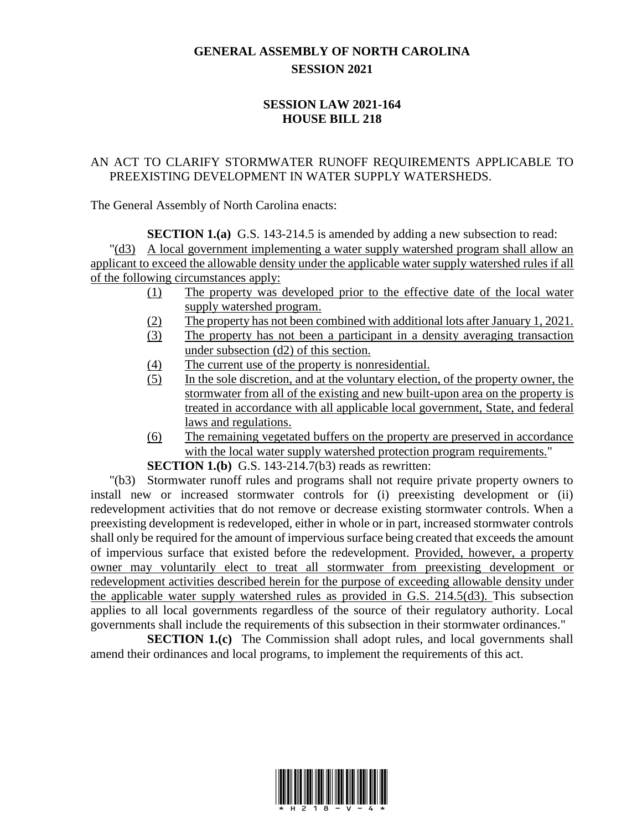## **GENERAL ASSEMBLY OF NORTH CAROLINA SESSION 2021**

## **SESSION LAW 2021-164 HOUSE BILL 218**

## AN ACT TO CLARIFY STORMWATER RUNOFF REQUIREMENTS APPLICABLE TO PREEXISTING DEVELOPMENT IN WATER SUPPLY WATERSHEDS.

The General Assembly of North Carolina enacts:

**SECTION 1.(a)** G.S. 143-214.5 is amended by adding a new subsection to read: "(d3) A local government implementing a water supply watershed program shall allow an applicant to exceed the allowable density under the applicable water supply watershed rules if all of the following circumstances apply:

- (1) The property was developed prior to the effective date of the local water supply watershed program.
- (2) The property has not been combined with additional lots after January 1, 2021.
- (3) The property has not been a participant in a density averaging transaction under subsection (d2) of this section.
- (4) The current use of the property is nonresidential.
- (5) In the sole discretion, and at the voluntary election, of the property owner, the stormwater from all of the existing and new built-upon area on the property is treated in accordance with all applicable local government, State, and federal laws and regulations.
- (6) The remaining vegetated buffers on the property are preserved in accordance with the local water supply watershed protection program requirements."

**SECTION 1.(b)** G.S. 143-214.7(b3) reads as rewritten:

"(b3) Stormwater runoff rules and programs shall not require private property owners to install new or increased stormwater controls for (i) preexisting development or (ii) redevelopment activities that do not remove or decrease existing stormwater controls. When a preexisting development is redeveloped, either in whole or in part, increased stormwater controls shall only be required for the amount of impervious surface being created that exceeds the amount of impervious surface that existed before the redevelopment. Provided, however, a property owner may voluntarily elect to treat all stormwater from preexisting development or redevelopment activities described herein for the purpose of exceeding allowable density under the applicable water supply watershed rules as provided in G.S. 214.5(d3). This subsection applies to all local governments regardless of the source of their regulatory authority. Local governments shall include the requirements of this subsection in their stormwater ordinances."

**SECTION 1.(c)** The Commission shall adopt rules, and local governments shall amend their ordinances and local programs, to implement the requirements of this act.